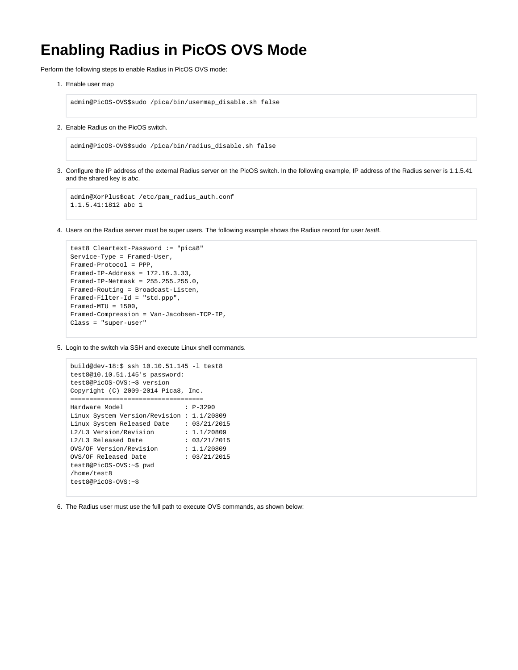## **Enabling Radius in PicOS OVS Mode**

Perform the following steps to enable Radius in PicOS OVS mode:

1. Enable user map

admin@PicOS-OVS\$sudo /pica/bin/usermap\_disable.sh false

2. Enable Radius on the PicOS switch.

admin@PicOS-OVS\$sudo /pica/bin/radius\_disable.sh false

3. Configure the IP address of the external Radius server on the PicOS switch. In the following example, IP address of the Radius server is 1.1.5.41 and the shared key is abc.

```
admin@XorPlus$cat /etc/pam_radius_auth.conf 
1.1.5.41:1812 abc 1
```
4. Users on the Radius server must be super users. The following example shows the Radius record for user test8.

```
test8 Cleartext-Password := "pica8"
Service-Type = Framed-User,
Framed-Protocol = PPP,
Framed-IP-Address = 172.16.3.33,
Framed-IP-Netmask = 255.255.255.0,
Framed-Routing = Broadcast-Listen,
Framed-Filter-Id = "std.ppp",
Framed-MTU = 1500,
Framed-Compression = Van-Jacobsen-TCP-IP,
Class = "super-user"
```
5. Login to the switch via SSH and execute Linux shell commands.

```
build@dev-18:$ ssh 10.10.51.145 -l test8
test8@10.10.51.145's password: 
test8@PicOS-OVS:~$ version
Copyright (C) 2009-2014 Pica8, Inc.
===================================
Hardware Model : P-3290
Linux System Version/Revision : 1.1/20809
Linux System Released Date : 03/21/2015<br>L2/L3 Version/Revision : 1.1/20809
L2/L3 Version/Revision
L2/L3 Released Date : 03/21/2015
OVS/OF Version/Revision : 1.1/20809
OVS/OF Released Date : 03/21/2015 
test8@PicOS-OVS:~$ pwd
/home/test8
test8@PicOS-OVS:~$
```
6. The Radius user must use the full path to execute OVS commands, as shown below: